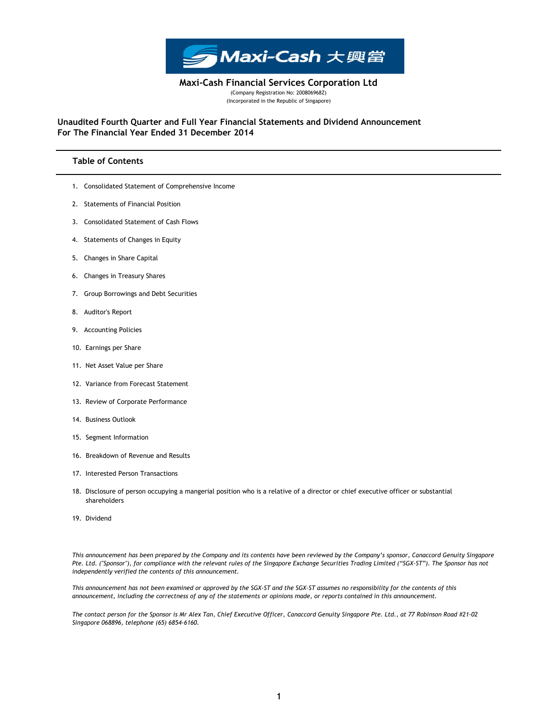

(Company Registration No: 200806968Z) (Incorporated in the Republic of Singapore) Maxi-Cash Financial Services Corporation Ltd

For The Financial Year Ended 31 December 2014 Unaudited Fourth Quarter and Full Year Financial Statements and Dividend Announcement

## Table of Contents

- 1. Consolidated Statement of Comprehensive Income
- 2. Statements of Financial Position
- 3. Consolidated Statement of Cash Flows
- 4. Statements of Changes in Equity
- 5. Changes in Share Capital
- 6. Changes in Treasury Shares
- 7. Group Borrowings and Debt Securities
- 8. Auditor's Report
- 9. Accounting Policies
- 10. Earnings per Share
- 11. Net Asset Value per Share
- 12. Variance from Forecast Statement
- 13. Review of Corporate Performance
- 14. Business Outlook
- 15. Segment Information
- 16. Breakdown of Revenue and Results
- 17. Interested Person Transactions
- 18. Disclosure of person occupying a mangerial position who is a relative of a director or chief executive officer or substantial shareholders
- 19. Dividend

This announcement has been prepared by the Company and its contents have been reviewed by the Company's sponsor, Canaccord Genuity Singapore Pte. Ltd. ("Sponsor"), for compliance with the relevant rules of the Singapore Exchange Securities Trading Limited ("SGX-ST"). The Sponsor has not independently verified the contents of this announcement.

This announcement has not been examined or approved by the SGX-ST and the SGX-ST assumes no responsibility for the contents of this announcement, including the correctness of any of the statements or opinions made, or reports contained in this announcement.

The contact person for the Sponsor is Mr Alex Tan, Chief Executive Officer, Canaccord Genuity Singapore Pte. Ltd., at 77 Robinson Road #21-02 Singapore 068896, telephone (65) 6854-6160.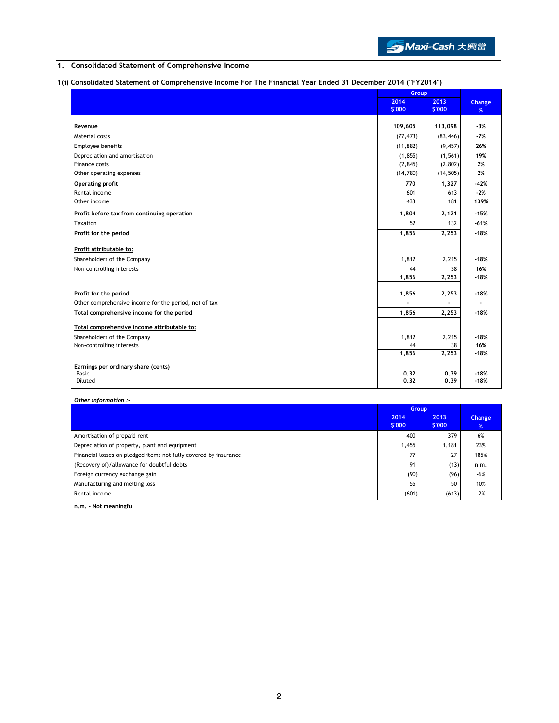

# 1. Consolidated Statement of Comprehensive Income

# 1(i) Consolidated Statement of Comprehensive Income For The Financial Year Ended 31 December 2014 ("FY2014")

|                                                       | Group     |           |        |
|-------------------------------------------------------|-----------|-----------|--------|
|                                                       | 2014      | 2013      | Change |
|                                                       | \$'000    | \$'000    | %      |
| Revenue                                               | 109,605   | 113,098   | $-3%$  |
| Material costs                                        | (77, 473) | (83, 446) | $-7%$  |
| Employee benefits                                     | (11, 882) | (9, 457)  | 26%    |
| Depreciation and amortisation                         | (1, 855)  | (1, 561)  | 19%    |
| Finance costs                                         | (2, 845)  | (2,802)   | 2%     |
| Other operating expenses                              | (14,780)  | (14, 505) | 2%     |
| Operating profit                                      | 770       | 1,327     | $-42%$ |
| Rental income                                         | 601       | 613       | $-2%$  |
| Other income                                          | 433       | 181       | 139%   |
| Profit before tax from continuing operation           | 1,804     | 2,121     | $-15%$ |
| Taxation                                              | 52        | 132       | $-61%$ |
| Profit for the period                                 | 1,856     | 2,253     | $-18%$ |
| Profit attributable to:                               |           |           |        |
| Shareholders of the Company                           | 1,812     | 2,215     | $-18%$ |
| Non-controlling interests                             | 44        | 38        | 16%    |
|                                                       | 1,856     | 2,253     | $-18%$ |
| Profit for the period                                 | 1,856     | 2,253     | $-18%$ |
| Other comprehensive income for the period, net of tax |           |           |        |
| Total comprehensive income for the period             | 1,856     | 2,253     | $-18%$ |
|                                                       |           |           |        |
| Total comprehensive income attributable to:           |           |           |        |
| Shareholders of the Company                           | 1,812     | 2,215     | $-18%$ |
| Non-controlling interests                             | 44        | 38        | 16%    |
|                                                       | 1,856     | 2,253     | $-18%$ |
| Earnings per ordinary share (cents)                   |           |           |        |
| -Basic                                                | 0.32      | 0.39      | $-18%$ |
| -Diluted                                              | 0.32      | 0.39      | $-18%$ |

Other information :-

|                                                                  | <b>Group</b>   |                |             |
|------------------------------------------------------------------|----------------|----------------|-------------|
|                                                                  | 2014<br>\$'000 | 2013<br>\$'000 | Change<br>% |
| Amortisation of prepaid rent                                     | 400            | 379            | 6%          |
| Depreciation of property, plant and equipment                    | 1,455          | 1,181          | 23%         |
| Financial losses on pledged items not fully covered by insurance | 77             | 27             | 185%        |
| (Recovery of)/allowance for doubtful debts                       | 91             | (13)           | n.m.        |
| Foreign currency exchange gain                                   | (90)           | (96)           | $-6%$       |
| Manufacturing and melting loss                                   | 55             | 50             | 10%         |
| Rental income                                                    | (601)          | (613)          | $-2%$       |

n.m. - Not meaningful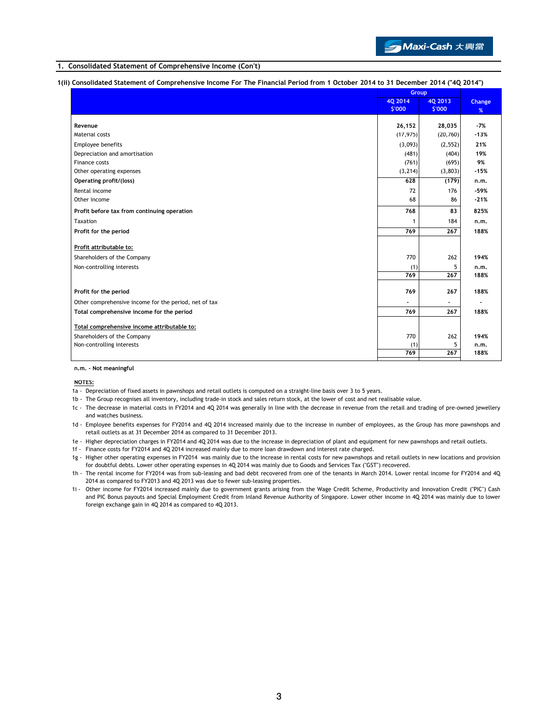

## 1. Consolidated Statement of Comprehensive Income (Con't)

## 1(ii) Consolidated Statement of Comprehensive Income For The Financial Period from 1 October 2014 to 31 December 2014 ("4Q 2014")

|                                                       |           | Group             |        |
|-------------------------------------------------------|-----------|-------------------|--------|
|                                                       | 40 2014   | 40 2013<br>\$'000 | Change |
|                                                       | \$'000    |                   | %      |
| Revenue                                               | 26,152    | 28,035            | $-7%$  |
| Material costs                                        | (17, 975) | (20, 760)         | $-13%$ |
| Employee benefits                                     | (3,093)   | (2, 552)          | 21%    |
| Depreciation and amortisation                         | (481)     | (404)             | 19%    |
| Finance costs                                         | (761)     | (695)             | 9%     |
| Other operating expenses                              | (3, 214)  | (3,803)           | $-15%$ |
| Operating profit/(loss)                               | 628       | (179)             | n.m.   |
| Rental income                                         | 72        | 176               | $-59%$ |
| Other income                                          | 68        | 86                | $-21%$ |
| Profit before tax from continuing operation           | 768       | 83                | 825%   |
| Taxation                                              | 1         | 184               | n.m.   |
| Profit for the period                                 | 769       | 267               | 188%   |
|                                                       |           |                   |        |
| Profit attributable to:                               |           |                   |        |
| Shareholders of the Company                           | 770       | 262               | 194%   |
| Non-controlling interests                             | (1)       | 5                 | n.m.   |
|                                                       | 769       | 267               | 188%   |
| Profit for the period                                 | 769       | 267               | 188%   |
| Other comprehensive income for the period, net of tax |           |                   |        |
| Total comprehensive income for the period             | 769       | 267               | 188%   |
|                                                       |           |                   |        |
| Total comprehensive income attributable to:           |           |                   |        |
| Shareholders of the Company                           | 770       | 262               | 194%   |
| Non-controlling interests                             | (1)       | 5                 | n.m.   |
|                                                       | 769       | 267               | 188%   |

#### n.m. - Not meaningful

#### NOTES:

- 1a Depreciation of fixed assets in pawnshops and retail outlets is computed on a straight-line basis over 3 to 5 years.
	- 1b The Group recognises all inventory, including trade-in stock and sales return stock, at the lower of cost and net realisable value.
	- 1c The decrease in material costs in FY2014 and 4Q 2014 was generally in line with the decrease in revenue from the retail and trading of pre-owned jewellery and watches business.
	- 1d Employee benefits expenses for FY2014 and 4Q 2014 increased mainly due to the increase in number of employees, as the Group has more pawnshops and retail outlets as at 31 December 2014 as compared to 31 December 2013.
	- 1e Higher depreciation charges in FY2014 and 4Q 2014 was due to the increase in depreciation of plant and equipment for new pawnshops and retail outlets.
	- 1f Finance costs for FY2014 and 4Q 2014 increased mainly due to more loan drawdown and interest rate charged.
	- 1g Higher other operating expenses in FY2014 was mainly due to the increase in rental costs for new pawnshops and retail outlets in new locations and provision for doubtful debts. Lower other operating expenses in 4Q 2014 was mainly due to Goods and Services Tax ("GST") recovered.
	- 1h The rental income for FY2014 was from sub-leasing and bad debt recovered from one of the tenants in March 2014. Lower rental income for FY2014 and 4Q 2014 as compared to FY2013 and 4Q 2013 was due to fewer sub-leasing properties.
	- 1i Other income for FY2014 increased mainly due to government grants arising from the Wage Credit Scheme, Productivity and Innovation Credit ("PIC") Cash and PIC Bonus payouts and Special Employment Credit from Inland Revenue Authority of Singapore. Lower other income in 4Q 2014 was mainly due to lower foreign exchange gain in 4Q 2014 as compared to 4Q 2013.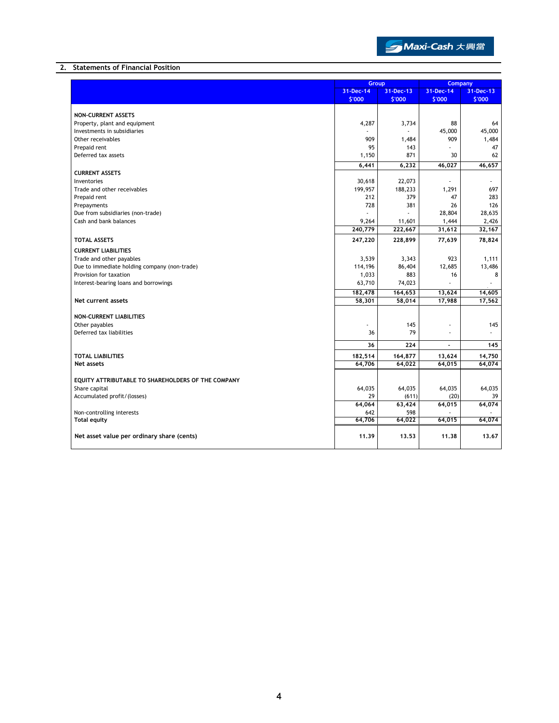

## 2. Statements of Financial Position

|                                                    | Group     |                     | <b>Company</b> |           |
|----------------------------------------------------|-----------|---------------------|----------------|-----------|
|                                                    | 31-Dec-14 | 31-Dec-13           | 31-Dec-14      | 31-Dec-13 |
|                                                    | \$'000    | \$'000              | \$'000         | \$'000    |
|                                                    |           |                     |                |           |
| <b>NON-CURRENT ASSETS</b>                          |           |                     |                |           |
| Property, plant and equipment                      | 4,287     | 3,734               | 88             | 64        |
| Investments in subsidiaries                        |           |                     | 45,000         | 45,000    |
| Other receivables                                  | 909       | 1,484               | 909            | 1,484     |
| Prepaid rent                                       | 95        | 143                 |                | 47        |
| Deferred tax assets                                | 1,150     | 871                 | 30             | 62        |
|                                                    | 6,441     | 6,232               | 46,027         | 46,657    |
| <b>CURRENT ASSETS</b>                              |           |                     |                |           |
| Inventories                                        | 30,618    | 22,073              |                |           |
| Trade and other receivables                        | 199,957   | 188,233             | 1,291          | 697       |
| Prepaid rent                                       | 212       | 379                 | 47             | 283       |
| Prepayments                                        | 728       | 381                 | 26             | 126       |
| Due from subsidiaries (non-trade)                  |           |                     | 28,804         | 28,635    |
| Cash and bank balances                             | 9,264     | 11,601              | 1,444          | 2,426     |
|                                                    | 240,779   | 222,667             | 31,612         | 32,167    |
| <b>TOTAL ASSETS</b>                                | 247,220   | 228,899             | 77,639         | 78,824    |
| <b>CURRENT LIABILITIES</b>                         |           |                     |                |           |
| Trade and other payables                           | 3,539     | 3,343               | 923            | 1,111     |
| Due to immediate holding company (non-trade)       | 114,196   | 86,404              | 12,685         | 13,486    |
| Provision for taxation                             | 1,033     | 883                 | 16             | 8         |
| Interest-bearing loans and borrowings              | 63,710    | 74,023              |                | ÷.        |
|                                                    | 182,478   | 164,653             | 13,624         | 14,605    |
| Net current assets                                 | 58,301    | 58,014              | 17,988         | 17,562    |
|                                                    |           |                     |                |           |
| <b>NON-CURRENT LIABILITIES</b>                     |           |                     |                |           |
| Other payables                                     |           | 145                 | J.             | 145       |
| Deferred tax liabilities                           | 36        | 79                  |                |           |
|                                                    |           |                     |                |           |
|                                                    | 36        | 224                 | ä,             | 145       |
| <b>TOTAL LIABILITIES</b>                           | 182,514   | 164,877             | 13,624         | 14,750    |
| Net assets                                         | 64,706    | 64,022              | 64,015         | 64,074    |
|                                                    |           |                     |                |           |
| EQUITY ATTRIBUTABLE TO SHAREHOLDERS OF THE COMPANY |           |                     |                |           |
| Share capital                                      | 64,035    | 64,035              | 64,035         | 64,035    |
| Accumulated profit/(losses)                        | 29        | (611)               | (20)           | 39        |
|                                                    | 64,064    | $\overline{63,}424$ | 64,015         | 64,074    |
| Non-controlling interests                          | 642       | 598                 |                |           |
| <b>Total equity</b>                                | 64,706    | 64,022              | 64,015         | 64,074    |
|                                                    |           |                     |                |           |
| Net asset value per ordinary share (cents)         | 11.39     | 13.53               | 11.38          | 13.67     |
|                                                    |           |                     |                |           |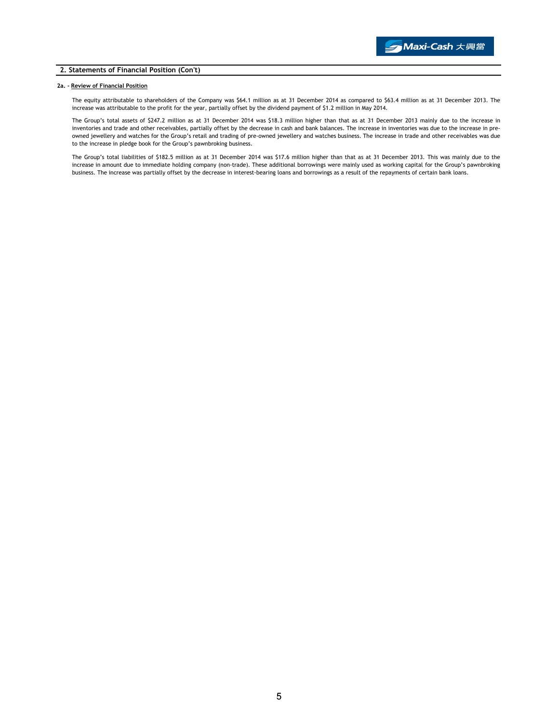### 2. Statements of Financial Position (Con't)

### 2a. - Review of Financial Position

The equity attributable to shareholders of the Company was \$64.1 million as at 31 December 2014 as compared to \$63.4 million as at 31 December 2013. The increase was attributable to the profit for the year, partially offset by the dividend payment of \$1.2 million in May 2014.

The Group's total assets of \$247.2 million as at 31 December 2014 was \$18.3 million higher than that as at 31 December 2013 mainly due to the increase in inventories and trade and other receivables, partially offset by the decrease in cash and bank balances. The increase in inventories was due to the increase in preowned jewellery and watches for the Group's retail and trading of pre-owned jewellery and watches business. The increase in trade and other receivables was due to the increase in pledge book for the Group's pawnbroking business.

The Group's total liabilities of \$182.5 million as at 31 December 2014 was \$17.6 million higher than that as at 31 December 2013. This was mainly due to the increase in amount due to immediate holding company (non-trade). These additional borrowings were mainly used as working capital for the Group's pawnbroking business. The increase was partially offset by the decrease in interest-bearing loans and borrowings as a result of the repayments of certain bank loans.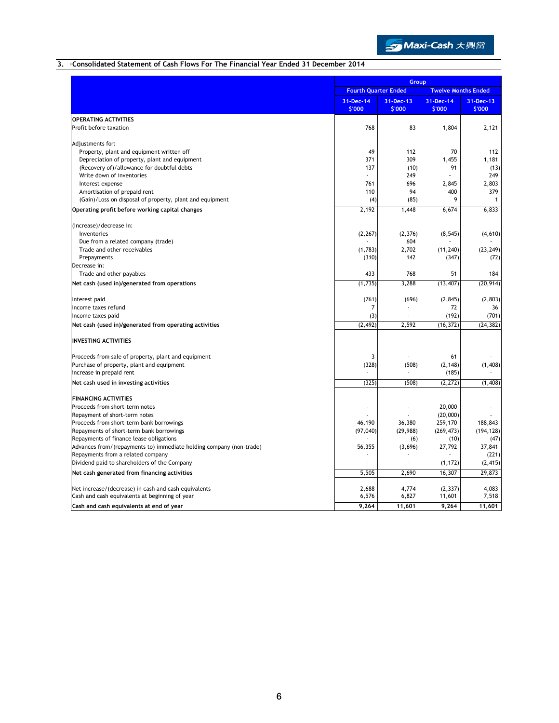

# 3. Consolidated Statement of Cash Flows For The Financial Year Ended 31 December 2014

|                                                                                   |                             | Group               |                     |                            |  |
|-----------------------------------------------------------------------------------|-----------------------------|---------------------|---------------------|----------------------------|--|
|                                                                                   | <b>Fourth Quarter Ended</b> |                     |                     | <b>Twelve Months Ended</b> |  |
|                                                                                   | 31-Dec-14<br>\$'000         | 31-Dec-13<br>\$'000 | 31-Dec-14<br>\$'000 | 31-Dec-13<br>\$'000        |  |
| <b>OPERATING ACTIVITIES</b>                                                       |                             |                     |                     |                            |  |
| Profit before taxation                                                            | 768                         | 83                  | 1,804               | 2,121                      |  |
| Adjustments for:                                                                  |                             |                     |                     |                            |  |
| Property, plant and equipment written off                                         | 49                          | 112                 | 70                  | 112                        |  |
| Depreciation of property, plant and equipment                                     | 371                         | 309                 | 1,455               | 1.181                      |  |
| (Recovery of)/allowance for doubtful debts                                        | 137                         | (10)<br>249         | 91                  | (13)<br>249                |  |
| Write down of inventories<br>Interest expense                                     | 761                         | 696                 | 2,845               | 2,803                      |  |
| Amortisation of prepaid rent                                                      | 110                         | 94                  | 400                 | 379                        |  |
| (Gain)/Loss on disposal of property, plant and equipment                          | (4)                         | (85)                | 9                   | $\mathbf{1}$               |  |
| Operating profit before working capital changes                                   | 2,192                       | 1,448               | 6,674               | 6,833                      |  |
|                                                                                   |                             |                     |                     |                            |  |
| (Increase)/decrease in:<br>Inventories                                            |                             |                     |                     |                            |  |
| Due from a related company (trade)                                                | (2, 267)                    | (2, 376)<br>604     | (8, 545)            | (4,610)                    |  |
| Trade and other receivables                                                       | (1,783)                     | 2,702               | (11, 240)           | (23, 249)                  |  |
| Prepayments                                                                       | (310)                       | 142                 | (347)               | (72)                       |  |
| Decrease in:                                                                      |                             |                     |                     |                            |  |
| Trade and other payables                                                          | 433                         | 768                 | 51                  | 184                        |  |
| Net cash (used in)/generated from operations                                      | (1,735)                     | 3,288               | (13, 407)           | (20, 914)                  |  |
| Interest paid                                                                     | (761)                       | (696)               | (2, 845)            | (2,803)                    |  |
| Income taxes refund                                                               | 7                           |                     | 72                  | 36                         |  |
| Income taxes paid                                                                 | (3)                         |                     | (192)               | (701)                      |  |
| Net cash (used in)/generated from operating activities                            | (2, 492)                    | 2.592               | (16, 372)           | (24, 382)                  |  |
| <b>INVESTING ACTIVITIES</b>                                                       |                             |                     |                     |                            |  |
| Proceeds from sale of property, plant and equipment                               | 3                           |                     | 61                  |                            |  |
| Purchase of property, plant and equipment                                         | (328)                       | (508)               | (2, 148)            | (1,408)                    |  |
| Increase in prepaid rent                                                          |                             |                     | (185)               |                            |  |
| Net cash used in investing activities                                             | (325)                       | (508)               | (2, 272)            | (1,408)                    |  |
| <b>FINANCING ACTIVITIES</b>                                                       |                             |                     |                     |                            |  |
| Proceeds from short-term notes                                                    |                             |                     | 20,000              |                            |  |
| Repayment of short-term notes                                                     |                             |                     | (20,000)            |                            |  |
| Proceeds from short-term bank borrowings                                          | 46,190                      | 36,380              | 259,170             | 188,843                    |  |
| Repayments of short-term bank borrowings                                          | (97, 040)                   | (29, 988)           | (269, 473)          | (194, 128)                 |  |
| Repayments of finance lease obligations                                           |                             | (6)                 | (10)                | (47)                       |  |
| Advances from/(repayments to) immediate holding company (non-trade)               | 56,355                      | (3,696)             | 27,792              | 37,841                     |  |
| Repayments from a related company<br>Dividend paid to shareholders of the Company |                             |                     | (1, 172)            | (221)                      |  |
|                                                                                   |                             |                     |                     | (2, 415)<br>29.873         |  |
| Net cash generated from financing activities                                      | 5,505                       | 2,690               | 16,307              |                            |  |
| Net increase/(decrease) in cash and cash equivalents                              | 2,688                       | 4,774               | (2, 337)            | 4,083                      |  |
| Cash and cash equivalents at beginning of year                                    | 6,576                       | 6,827               | 11,601              | 7,518                      |  |
| Cash and cash equivalents at end of year                                          | 9,264                       | 11,601              | 9,264               | 11,601                     |  |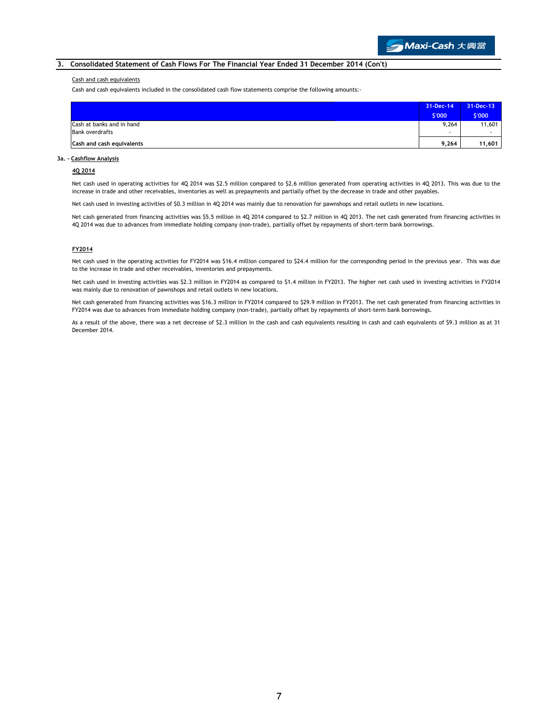## 3. Consolidated Statement of Cash Flows For The Financial Year Ended 31 December 2014 (Con't)

#### Cash and cash equivalents

Cash and cash equivalents included in the consolidated cash flow statements comprise the following amounts:-

|                           | 31-Dec-14 | 31-Dec-13 |
|---------------------------|-----------|-----------|
|                           | \$'000    | \$'000    |
| Cash at banks and in hand | 9,264     | 11,601    |
| <b>Bank overdrafts</b>    |           |           |
| Cash and cash equivalents | 9,264     | 11,601    |

#### 3a. - Cashflow Analysis

#### 4Q 2014

Net cash used in operating activities for 4Q 2014 was \$2.5 million compared to \$2.6 million generated from operating activities in 4Q 2013. This was due to the increase in trade and other receivables, inventories as well as prepayments and partially offset by the decrease in trade and other payables.

Net cash used in investing activities of \$0.3 million in 4Q 2014 was mainly due to renovation for pawnshops and retail outlets in new locations.

Net cash generated from financing activities was \$5.5 million in 4Q 2014 compared to \$2.7 million in 4Q 2013. The net cash generated from financing activities in 4Q 2014 was due to advances from immediate holding company (non-trade), partially offset by repayments of short-term bank borrowings.

#### FY2014

Net cash used in the operating activities for FY2014 was \$16.4 million compared to \$24.4 million for the corresponding period in the previous year. This was due to the increase in trade and other receivables, inventories and prepayments.

Net cash used in investing activities was \$2.3 million in FY2014 as compared to \$1.4 million in FY2013. The higher net cash used in investing activities in FY2014 was mainly due to renovation of pawnshops and retail outlets in new locations.

Net cash generated from financing activities was \$16.3 million in FY2014 compared to \$29.9 million in FY2013. The net cash generated from financing activities in FY2014 was due to advances from immediate holding company (non-trade), partially offset by repayments of short-term bank borrowings.

As a result of the above, there was a net decrease of \$2.3 million in the cash and cash equivalents resulting in cash and cash equivalents of \$9.3 million as at 31 December 2014.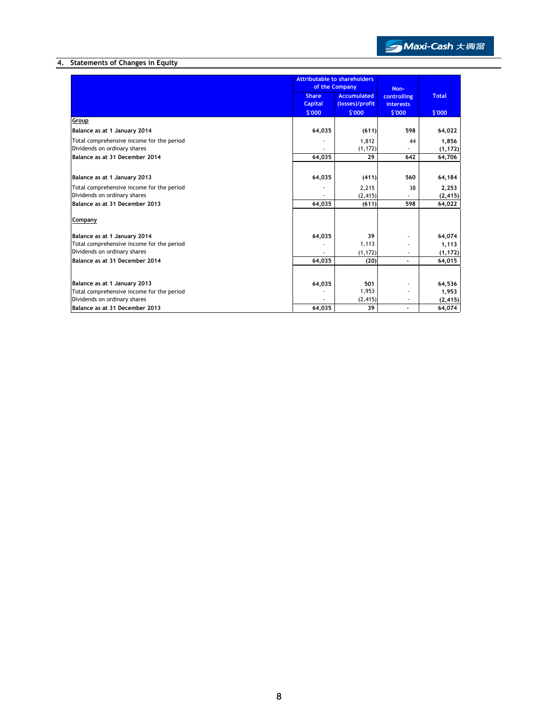

# 4. Statements of Changes in Equity

|                                           |                | <b>Attributable to shareholders</b><br>of the Company |                  |             |              |
|-------------------------------------------|----------------|-------------------------------------------------------|------------------|-------------|--------------|
|                                           | <b>Share</b>   | <b>Accumulated</b>                                    |                  | controlling | <b>Total</b> |
|                                           | <b>Capital</b> | (losses)/profit                                       | <b>interests</b> |             |              |
|                                           | \$'000         | \$'000                                                | \$'000           | \$'000      |              |
| Group                                     |                |                                                       |                  |             |              |
| Balance as at 1 January 2014              | 64,035         | (611)                                                 | 598              | 64,022      |              |
| Total comprehensive income for the period |                | 1,812                                                 | 44               | 1,856       |              |
| Dividends on ordinary shares              |                | (1, 172)                                              |                  | (1, 172)    |              |
| Balance as at 31 December 2014            | 64,035         | 29                                                    | 642              | 64,706      |              |
|                                           |                |                                                       |                  |             |              |
| Balance as at 1 January 2013              | 64,035         | (411)                                                 | 560              | 64,184      |              |
| Total comprehensive income for the period |                | 2,215                                                 | 38               | 2,253       |              |
| Dividends on ordinary shares              |                | (2, 415)                                              |                  | (2, 415)    |              |
| Balance as at 31 December 2013            | 64,035         | (611)                                                 | 598              | 64,022      |              |
| Company                                   |                |                                                       |                  |             |              |
| Balance as at 1 January 2014              | 64,035         | 39                                                    |                  | 64,074      |              |
| Total comprehensive income for the period |                | 1,113                                                 |                  | 1,113       |              |
| Dividends on ordinary shares              |                | (1, 172)                                              |                  | (1, 172)    |              |
| Balance as at 31 December 2014            | 64,035         | (20)                                                  |                  | 64,015      |              |
|                                           |                |                                                       |                  |             |              |
| Balance as at 1 January 2013              | 64,035         | 501                                                   |                  | 64,536      |              |
| Total comprehensive income for the period |                | 1,953                                                 |                  | 1,953       |              |
| Dividends on ordinary shares              |                | (2, 415)                                              |                  | (2, 415)    |              |
| Balance as at 31 December 2013            | 64.035         | 39                                                    |                  | 64,074      |              |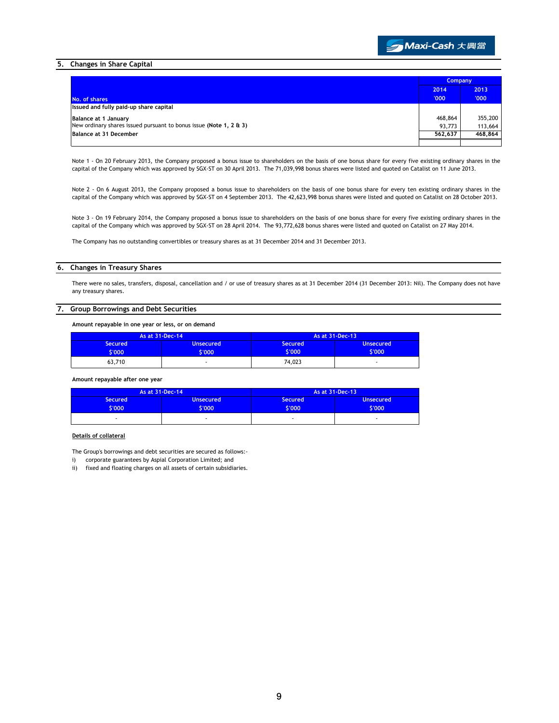

### 5. Changes in Share Capital

|                                                                    | <b>Company</b> |         |
|--------------------------------------------------------------------|----------------|---------|
|                                                                    | 2014           | 2013    |
| No. of shares                                                      | '000'          | '000'   |
| Issued and fully paid-up share capital                             |                |         |
| <b>Balance at 1 January</b>                                        | 468,864        | 355,200 |
| New ordinary shares issued pursuant to bonus issue (Note 1, 2 & 3) | 93.773         | 113,664 |
| Balance at 31 December                                             | 562.637        | 468,864 |
|                                                                    |                |         |

Note 1 - On 20 February 2013, the Company proposed a bonus issue to shareholders on the basis of one bonus share for every five existing ordinary shares in the capital of the Company which was approved by SGX-ST on 30 April 2013. The 71,039,998 bonus shares were listed and quoted on Catalist on 11 June 2013.

Note 2 - On 6 August 2013, the Company proposed a bonus issue to shareholders on the basis of one bonus share for every ten existing ordinary shares in the capital of the Company which was approved by SGX-ST on 4 September 2013. The 42,623,998 bonus shares were listed and quoted on Catalist on 28 October 2013.

Note 3 - On 19 February 2014, the Company proposed a bonus issue to shareholders on the basis of one bonus share for every five existing ordinary shares in the capital of the Company which was approved by SGX-ST on 28 April 2014. The 93,772,628 bonus shares were listed and quoted on Catalist on 27 May 2014.

The Company has no outstanding convertibles or treasury shares as at 31 December 2014 and 31 December 2013.

### 6. Changes in Treasury Shares

There were no sales, transfers, disposal, cancellation and / or use of treasury shares as at 31 December 2014 (31 December 2013: Nil). The Company does not have any treasury shares.

#### 7. Group Borrowings and Debt Securities

Amount repayable in one year or less, or on demand

| As at 31-Dec-14          |                            | As at 31-Dec-13          |                            |
|--------------------------|----------------------------|--------------------------|----------------------------|
| <b>Secured</b><br>\$'000 | <b>Unsecured</b><br>\$'000 | <b>Secured</b><br>\$'000 | <b>Unsecured</b><br>\$'000 |
| 63,710                   |                            | 74.023                   | ۰                          |

Amount repayable after one year

| As at 31-Dec-14          |                          | As at 31-Dec-13       |                                |
|--------------------------|--------------------------|-----------------------|--------------------------------|
| <b>Secured</b><br>\$'000 | <b>Unsecured</b><br>7000 | <b>Secured</b><br>000 | <b>Unsecured</b><br><b>COO</b> |
|                          |                          | -                     |                                |

#### Details of collateral

The Group's borrowings and debt securities are secured as follows:-

i) corporate guarantees by Aspial Corporation Limited; and

ii) fixed and floating charges on all assets of certain subsidiaries.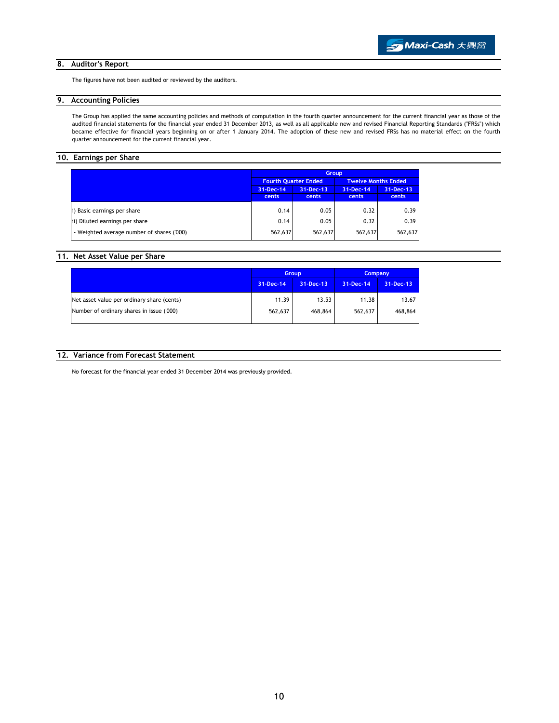## 8. Auditor's Report

The figures have not been audited or reviewed by the auditors.

# 9. Accounting Policies

The Group has applied the same accounting policies and methods of computation in the fourth quarter announcement for the current financial year as those of the audited financial statements for the financial year ended 31 December 2013, as well as all applicable new and revised Financial Reporting Standards ("FRSs") which became effective for financial years beginning on or after 1 January 2014. The adoption of these new and revised FRSs has no material effect on the fourth quarter announcement for the current financial year.

# 10. Earnings per Share

|                                            | <b>Group</b>                                              |                 |           |           |  |
|--------------------------------------------|-----------------------------------------------------------|-----------------|-----------|-----------|--|
|                                            | <b>Fourth Ouarter Ended</b><br><b>Twelve Months Ended</b> |                 |           |           |  |
|                                            | 31-Dec-14                                                 | $31 - Dec - 13$ | 31-Dec-14 | 31-Dec-13 |  |
|                                            | cents                                                     | cents           | cents     | cents     |  |
| i) Basic earnings per share                | 0.14                                                      | 0.05            | 0.32      | 0.39      |  |
| ii) Diluted earnings per share             | 0.14                                                      | 0.05            | 0.32      | 0.39      |  |
| - Weighted average number of shares ('000) | 562,637                                                   | 562,637         | 562,637   | 562,637   |  |

# 11. Net Asset Value per Share

|                                            |           | <b>Group</b>    |           | <b>Company</b> |
|--------------------------------------------|-----------|-----------------|-----------|----------------|
|                                            | 31-Dec-14 | $31 - Dec - 13$ | 31-Dec-14 | 31-Dec-13      |
| Net asset value per ordinary share (cents) | 11.39     | 13.53           | 11.38     | 13.67          |
| Number of ordinary shares in issue ('000)  | 562,637   | 468,864         | 562,637   | 468,864        |

# 12. Variance from Forecast Statement

No forecast for the financial year ended 31 December 2014 was previously provided.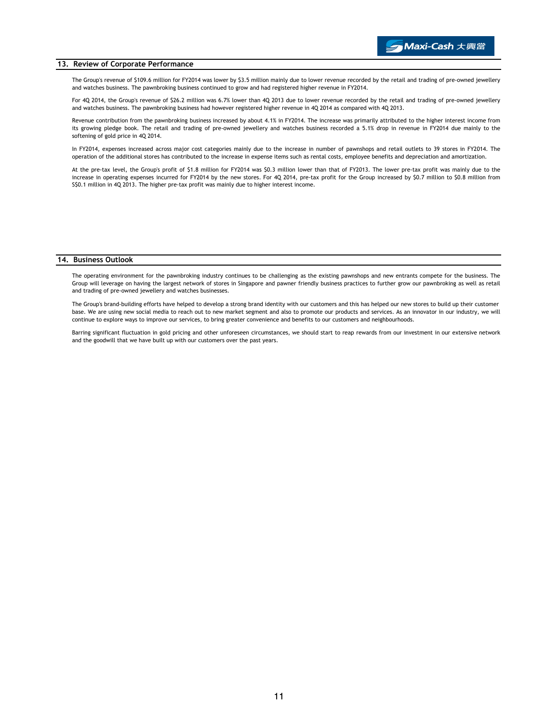#### 13. Review of Corporate Performance

The Group's revenue of \$109.6 million for FY2014 was lower by \$3.5 million mainly due to lower revenue recorded by the retail and trading of pre-owned jewellery and watches business. The pawnbroking business continued to grow and had registered higher revenue in FY2014.

For 4Q 2014, the Group's revenue of \$26.2 million was 6.7% lower than 4Q 2013 due to lower revenue recorded by the retail and trading of pre-owned jewellery and watches business. The pawnbroking business had however registered higher revenue in 4Q 2014 as compared with 4Q 2013.

Revenue contribution from the pawnbroking business increased by about 4.1% in FY2014. The increase was primarily attributed to the higher interest income from its growing pledge book. The retail and trading of pre-owned jewellery and watches business recorded a 5.1% drop in revenue in FY2014 due mainly to the softening of gold price in 4Q 2014.

In FY2014, expenses increased across major cost categories mainly due to the increase in number of pawnshops and retail outlets to 39 stores in FY2014. The operation of the additional stores has contributed to the increase in expense items such as rental costs, employee benefits and depreciation and amortization.

At the pre-tax level, the Group's profit of \$1.8 million for FY2014 was \$0.3 million lower than that of FY2013. The lower pre-tax profit was mainly due to the increase in operating expenses incurred for FY2014 by the new stores. For 4Q 2014, pre-tax profit for the Group increased by \$0.7 million to \$0.8 million from S\$0.1 million in 4Q 2013. The higher pre-tax profit was mainly due to higher interest income.

#### 14. Business Outlook

The operating environment for the pawnbroking industry continues to be challenging as the existing pawnshops and new entrants compete for the business. The Group will leverage on having the largest network of stores in Singapore and pawner friendly business practices to further grow our pawnbroking as well as retail and trading of pre-owned jewellery and watches businesses.

The Group's brand-building efforts have helped to develop a strong brand identity with our customers and this has helped our new stores to build up their customer base. We are using new social media to reach out to new market segment and also to promote our products and services. As an innovator in our industry, we will continue to explore ways to improve our services, to bring greater convenience and benefits to our customers and neighbourhoods.

Barring significant fluctuation in gold pricing and other unforeseen circumstances, we should start to reap rewards from our investment in our extensive network and the goodwill that we have built up with our customers over the past years.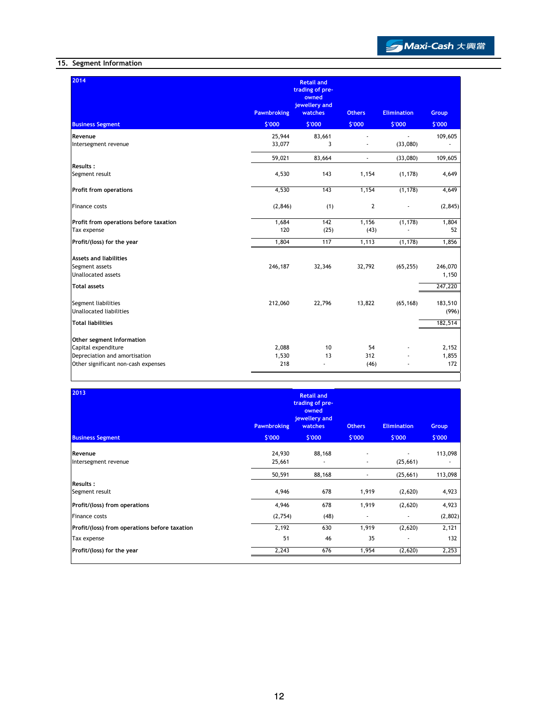# 15. Segment Information

| 2014                                                                                                                     | <b>Pawnbroking</b>    | <b>Retail and</b><br>trading of pre-<br>owned<br>jewellery and<br><b>watches</b> | <b>Others</b>     | <b>Elimination</b> | Group                       |
|--------------------------------------------------------------------------------------------------------------------------|-----------------------|----------------------------------------------------------------------------------|-------------------|--------------------|-----------------------------|
| <b>Business Segment</b>                                                                                                  | \$'000                | \$'000                                                                           | \$'000            | \$'000             | \$'000                      |
| Revenue<br>Intersegment revenue                                                                                          | 25,944<br>33,077      | 83,661<br>3                                                                      |                   | ÷.<br>(33,080)     | 109,605                     |
|                                                                                                                          | 59,021                | 83,664                                                                           | $\sim$            | (33,080)           | 109,605                     |
| <b>Results:</b><br>Segment result                                                                                        | 4,530                 | 143                                                                              | 1,154             | (1, 178)           | 4,649                       |
| <b>Profit from operations</b>                                                                                            | 4,530                 | 143                                                                              | 1,154             | (1, 178)           | 4,649                       |
| Finance costs                                                                                                            | (2, 846)              | (1)                                                                              | $\overline{2}$    |                    | (2, 845)                    |
| Profit from operations before taxation<br>Tax expense                                                                    | 1,684<br>120          | 142<br>(25)                                                                      | 1,156<br>(43)     | (1, 178)           | 1,804<br>52                 |
| Profit/(loss) for the year                                                                                               | 1,804                 | 117                                                                              | 1,113             | (1, 178)           | 1,856                       |
| Assets and liabilities<br>Segment assets<br>Unallocated assets<br><b>Total assets</b>                                    | 246,187               | 32,346                                                                           | 32,792            | (65, 255)          | 246,070<br>1,150<br>247,220 |
| Segment liabilities<br>Unallocated liabilities                                                                           | 212,060               | 22,796                                                                           | 13,822            | (65, 168)          | 183,510<br>(996)            |
| <b>Total liabilities</b>                                                                                                 |                       |                                                                                  |                   |                    | 182,514                     |
| Other segment Information<br>Capital expenditure<br>Depreciation and amortisation<br>Other significant non-cash expenses | 2,088<br>1,530<br>218 | 10<br>13<br>ä,                                                                   | 54<br>312<br>(46) |                    | 2,152<br>1,855<br>172       |

| 2013<br><b>Business Segment</b>               | <b>Pawnbroking</b><br>\$'000 | <b>Retail and</b><br>trading of pre-<br>owned<br>jewellery and<br>watches<br>\$'000 | <b>Others</b><br>\$'000 | <b>Elimination</b><br>\$'000 | <b>Group</b><br>\$'000 |
|-----------------------------------------------|------------------------------|-------------------------------------------------------------------------------------|-------------------------|------------------------------|------------------------|
| Revenue                                       | 24,930                       | 88,168                                                                              |                         |                              | 113,098                |
| Intersegment revenue                          | 25,661                       |                                                                                     |                         | (25, 661)                    |                        |
|                                               | 50,591                       | 88,168                                                                              | ٠                       | (25, 661)                    | 113,098                |
| Results:                                      |                              |                                                                                     |                         |                              |                        |
| Segment result                                | 4,946                        | 678                                                                                 | 1,919                   | (2,620)                      | 4,923                  |
| Profit/(loss) from operations                 | 4,946                        | 678                                                                                 | 1,919                   | (2,620)                      | 4,923                  |
| Finance costs                                 | (2,754)                      | (48)                                                                                |                         |                              | (2,802)                |
| Profit/(loss) from operations before taxation | 2,192                        | 630                                                                                 | 1,919                   | (2,620)                      | 2,121                  |
| Tax expense                                   | 51                           | 46                                                                                  | 35                      | ٠                            | 132                    |
| Profit/(loss) for the year                    | 2,243                        | 676                                                                                 | 1,954                   | (2,620)                      | 2,253                  |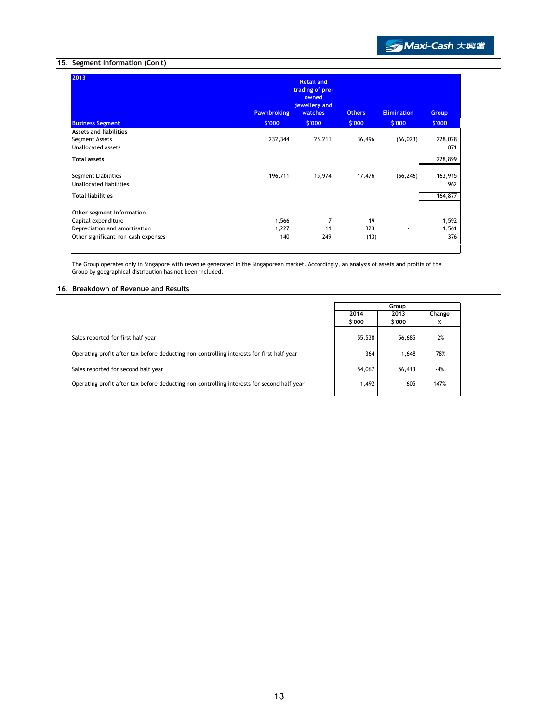

# 15. Segment Information (Con't)

| 2013<br><b>Business Segment</b>                | <b>Pawnbroking</b><br>\$'000 | <b>Retail and</b><br>trading of pre-<br>owned<br>jewellery and<br>watches<br>\$'000 | <b>Others</b><br>\$'000 | <b>Elimination</b><br>\$'000 | Group<br>\$'000 |
|------------------------------------------------|------------------------------|-------------------------------------------------------------------------------------|-------------------------|------------------------------|-----------------|
| <b>Assets and liabilities</b>                  |                              |                                                                                     |                         |                              |                 |
| Segment Assets<br><b>Unallocated assets</b>    | 232,344                      | 25,211                                                                              | 36,496                  | (66, 023)                    | 228,028<br>871  |
| <b>Total assets</b>                            |                              |                                                                                     |                         |                              | 228,899         |
| Segment Liabilities<br>Unallocated liabilities | 196,711                      | 15,974                                                                              | 17,476                  | (66, 246)                    | 163,915<br>962  |
| <b>Total liabilities</b>                       |                              |                                                                                     |                         |                              | 164,877         |
| Other segment Information                      |                              |                                                                                     |                         |                              |                 |
| Capital expenditure                            | 1,566                        | 7                                                                                   | 19                      | ٠                            | 1,592           |
| Depreciation and amortisation                  | 1,227                        | 11                                                                                  | 323                     | ٠                            | 1,561           |
| Other significant non-cash expenses            | 140                          | 249                                                                                 | (13)                    | ٠                            | 376             |

The Group operates only in Singapore with revenue generated in the Singaporean market. Accordingly, an analysis of assets and profits of the Group by geographical distribution has not been included.

# 16. Breakdown of Revenue and Results

|                                                                                            | Group  |        |        |
|--------------------------------------------------------------------------------------------|--------|--------|--------|
|                                                                                            | 2014   | 2013   | Change |
|                                                                                            | \$'000 | \$'000 | %      |
| Sales reported for first half year                                                         | 55,538 | 56,685 | $-2%$  |
| Operating profit after tax before deducting non-controlling interests for first half year  | 364    | 1,648  | $-78%$ |
| Sales reported for second half year                                                        | 54,067 | 56,413 | $-4%$  |
| Operating profit after tax before deducting non-controlling interests for second half year | 1,492  | 605    | 147%   |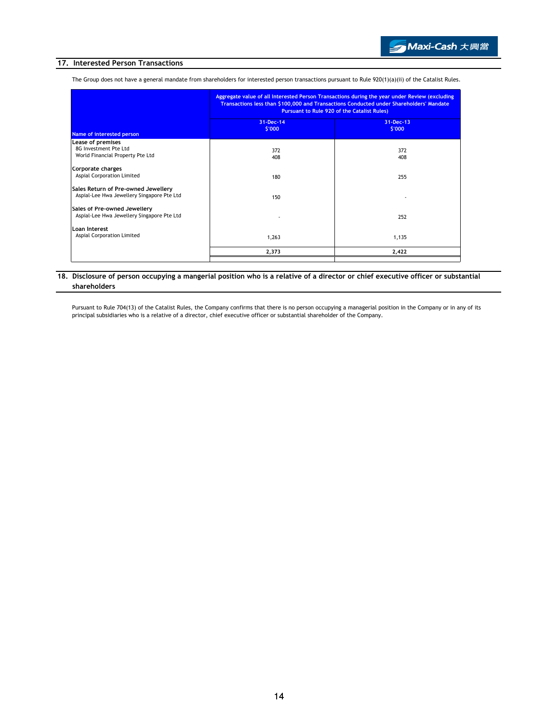## 17. Interested Person Transactions

The Group does not have a general mandate from shareholders for interested person transactions pursuant to Rule 920(1)(a)(ii) of the Catalist Rules.

| Aggregate value of all Interested Person Transactions during the year under Review (excluding<br>Transactions less than \$100,000 and Transactions Conducted under Shareholders' Mandate<br><b>Pursuant to Rule 920 of the Catalist Rules)</b> |                     |  |  |
|------------------------------------------------------------------------------------------------------------------------------------------------------------------------------------------------------------------------------------------------|---------------------|--|--|
| 31-Dec-14<br>\$'000                                                                                                                                                                                                                            | 31-Dec-13<br>\$'000 |  |  |
|                                                                                                                                                                                                                                                |                     |  |  |
| 372<br>408                                                                                                                                                                                                                                     | 372<br>408          |  |  |
| 180                                                                                                                                                                                                                                            | 255                 |  |  |
| 150                                                                                                                                                                                                                                            |                     |  |  |
|                                                                                                                                                                                                                                                | 252                 |  |  |
| 1,263                                                                                                                                                                                                                                          | 1,135               |  |  |
| 2,373                                                                                                                                                                                                                                          | 2,422               |  |  |
|                                                                                                                                                                                                                                                |                     |  |  |

# 18. Disclosure of person occupying a mangerial position who is a relative of a director or chief executive officer or substantial shareholders

Pursuant to Rule 704(13) of the Catalist Rules, the Company confirms that there is no person occupying a managerial position in the Company or in any of its principal subsidiaries who is a relative of a director, chief executive officer or substantial shareholder of the Company.